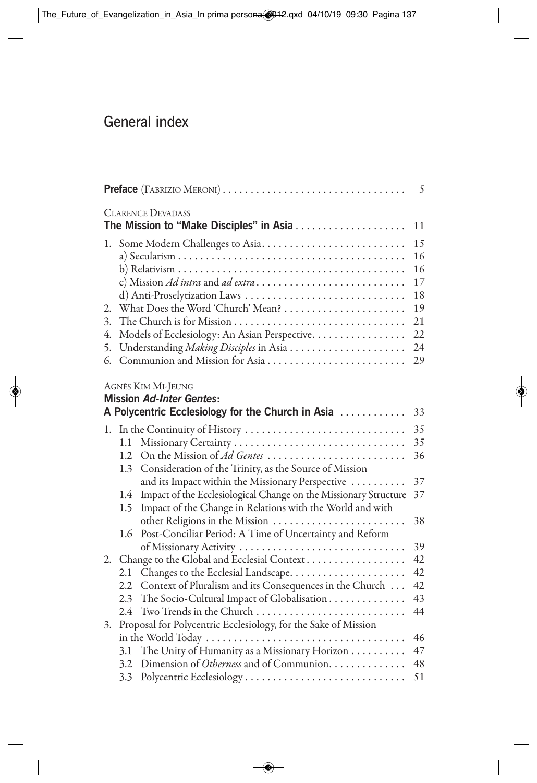## General index

| Preface (FABRIZIO MERONI) |                                                                |                                                                                                            | 5  |  |
|---------------------------|----------------------------------------------------------------|------------------------------------------------------------------------------------------------------------|----|--|
|                           |                                                                | <b>CLARENCE DEVADASS</b>                                                                                   | 11 |  |
|                           |                                                                | 1. Some Modern Challenges to Asia                                                                          | 15 |  |
|                           |                                                                |                                                                                                            | 16 |  |
|                           |                                                                |                                                                                                            | 16 |  |
|                           |                                                                |                                                                                                            | 17 |  |
|                           |                                                                | d) Anti-Proselytization Laws                                                                               | 18 |  |
| 2.                        |                                                                |                                                                                                            | 19 |  |
| 3.                        |                                                                |                                                                                                            |    |  |
| 4.                        |                                                                | Models of Ecclesiology: An Asian Perspective.                                                              | 22 |  |
| 5.                        |                                                                |                                                                                                            | 24 |  |
| 6.                        |                                                                | Communion and Mission for Asia                                                                             | 29 |  |
|                           |                                                                | AGNÈS KIM MI-JEUNG<br><b>Mission Ad-Inter Gentes:</b><br>A Polycentric Ecclesiology for the Church in Asia | 33 |  |
| ı.                        | In the Continuity of History                                   |                                                                                                            | 35 |  |
|                           | 1.1                                                            |                                                                                                            | 35 |  |
|                           | 1.2                                                            | On the Mission of Ad Gentes                                                                                | 36 |  |
|                           | 1.3                                                            | Consideration of the Trinity, as the Source of Mission                                                     |    |  |
|                           |                                                                | and its Impact within the Missionary Perspective                                                           | 37 |  |
|                           | 1.4                                                            | Impact of the Ecclesiological Change on the Missionary Structure                                           | 37 |  |
|                           | 1.5                                                            | Impact of the Change in Relations with the World and with                                                  |    |  |
|                           |                                                                | other Religions in the Mission                                                                             | 38 |  |
|                           | 1.6                                                            | Post-Conciliar Period: A Time of Uncertainty and Reform                                                    |    |  |
|                           |                                                                | of Missionary Activity                                                                                     | 39 |  |
| 2.                        |                                                                | Change to the Global and Ecclesial Context                                                                 | 42 |  |
|                           | 2.1                                                            |                                                                                                            | 42 |  |
|                           | 2.2                                                            | Context of Pluralism and its Consequences in the Church                                                    | 42 |  |
|                           | 2.3                                                            | The Socio-Cultural Impact of Globalisation                                                                 | 43 |  |
|                           | 2.4                                                            | Two Trends in the Church                                                                                   | 44 |  |
| 3.                        | Proposal for Polycentric Ecclesiology, for the Sake of Mission |                                                                                                            |    |  |
|                           |                                                                |                                                                                                            | 46 |  |
|                           | 3.1                                                            | The Unity of Humanity as a Missionary Horizon                                                              | 47 |  |
|                           | 3.2                                                            | Dimension of Otherness and of Communion.                                                                   | 48 |  |
|                           | 3.3                                                            | Polycentric Ecclesiology                                                                                   | 51 |  |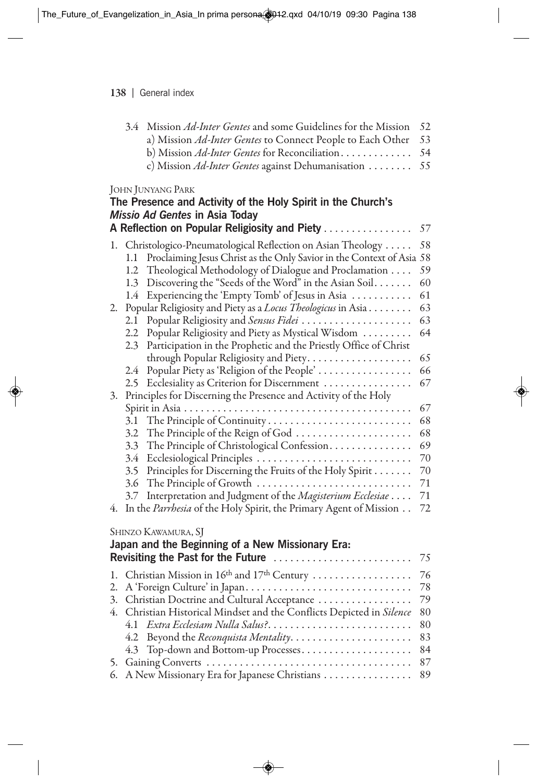| 3.4 Mission Ad-Inter Gentes and some Guidelines for the Mission 52 |  |
|--------------------------------------------------------------------|--|
| a) Mission Ad-Inter Gentes to Connect People to Each Other 53      |  |
| b) Mission Ad-Inter Gentes for Reconciliation 54                   |  |
| c) Mission Ad-Inter Gentes against Dehumanisation  55              |  |
|                                                                    |  |

|    | The Presence and Activity of the Holy Spirit in the Church's<br>Missio Ad Gentes in Asia Today                                                                                                                                                                                                                                     |                      |
|----|------------------------------------------------------------------------------------------------------------------------------------------------------------------------------------------------------------------------------------------------------------------------------------------------------------------------------------|----------------------|
|    | A Reflection on Popular Religiosity and Piety                                                                                                                                                                                                                                                                                      | 57                   |
| l. | Christologico-Pneumatological Reflection on Asian Theology<br>Proclaiming Jesus Christ as the Only Savior in the Context of Asia 58<br>1.1<br>Theological Methodology of Dialogue and Proclamation<br>1.2<br>Discovering the "Seeds of the Word" in the Asian Soil<br>1.3<br>Experiencing the 'Empty Tomb' of Jesus in Asia<br>1.4 | 58<br>59<br>60<br>61 |
| 2. | Popular Religiosity and Piety as a Locus Theologicus in Asia<br>Popular Religiosity and Sensus Fidei<br>2.1<br>Popular Religiosity and Piety as Mystical Wisdom<br>2.2<br>Participation in the Prophetic and the Priestly Office of Christ<br>2.3                                                                                  | 63<br>63<br>64<br>65 |
|    | Popular Piety as 'Religion of the People'<br>2.4                                                                                                                                                                                                                                                                                   | 66                   |
| 3. | Ecclesiality as Criterion for Discernment<br>2.5<br>Principles for Discerning the Presence and Activity of the Holy                                                                                                                                                                                                                | 67                   |
|    |                                                                                                                                                                                                                                                                                                                                    | 67                   |
|    | The Principle of Continuity<br>3.1                                                                                                                                                                                                                                                                                                 | 68                   |
|    | 3.2<br>The Principle of the Reign of God                                                                                                                                                                                                                                                                                           | 68                   |
|    | The Principle of Christological Confession<br>3.3                                                                                                                                                                                                                                                                                  | 69                   |
|    | Ecclesiological Principles<br>3.4                                                                                                                                                                                                                                                                                                  | 70                   |
|    | Principles for Discerning the Fruits of the Holy Spirit<br>3.5                                                                                                                                                                                                                                                                     | 70                   |
|    | 3.6<br>The Principle of Growth                                                                                                                                                                                                                                                                                                     | 71                   |
|    | Interpretation and Judgment of the Magisterium Ecclesiae<br>3.7                                                                                                                                                                                                                                                                    | 71                   |
| 4. | In the Parrhesia of the Holy Spirit, the Primary Agent of Mission                                                                                                                                                                                                                                                                  | 72                   |
|    | SHINZO KAWAMURA, SJ                                                                                                                                                                                                                                                                                                                |                      |
|    | Japan and the Beginning of a New Missionary Era:                                                                                                                                                                                                                                                                                   |                      |
|    | Revisiting the Past for the Future                                                                                                                                                                                                                                                                                                 | 75                   |
| 1. | Christian Mission in 16 <sup>th</sup> and 17 <sup>th</sup> Century                                                                                                                                                                                                                                                                 | 76                   |
| 2. | A 'Foreign Culture' in Japan                                                                                                                                                                                                                                                                                                       | 78                   |
| 3. | Christian Doctrine and Cultural Acceptance                                                                                                                                                                                                                                                                                         | 79                   |
| 4. | Christian Historical Mindset and the Conflicts Depicted in Silence                                                                                                                                                                                                                                                                 | 80                   |
|    | Extra Ecclesiam Nulla Salus?<br>4.1                                                                                                                                                                                                                                                                                                | 80                   |
|    |                                                                                                                                                                                                                                                                                                                                    | 83                   |
|    | 4.3 Top-down and Bottom-up Processes                                                                                                                                                                                                                                                                                               | 84                   |
| 5. |                                                                                                                                                                                                                                                                                                                                    | 87                   |
| 6. | A New Missionary Era for Japanese Christians                                                                                                                                                                                                                                                                                       | 89                   |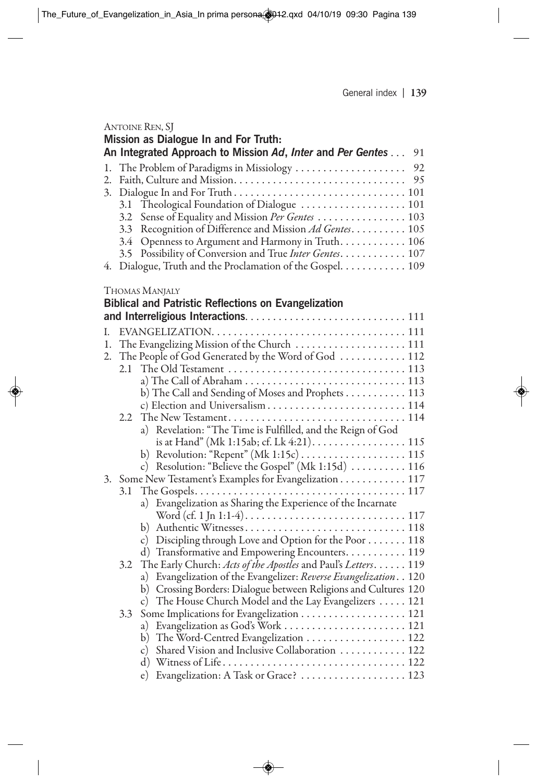| ANTOINE REN, SJ                                                  |
|------------------------------------------------------------------|
| Mission as Dialogue In and For Truth:                            |
| An Integrated Approach to Mission Ad, Inter and Per Gentes<br>91 |
| 1. The Problem of Paradigms in Missiology<br>92                  |
| $2_{\cdot}$                                                      |
| 3.                                                               |
| 3.1 Theological Foundation of Dialogue  101                      |
| Sense of Equality and Mission Per Gentes  103<br>3.2             |
| Recognition of Difference and Mission Ad Gentes 105<br>3.3       |
| Openness to Argument and Harmony in Truth. 106<br>3.4            |
| 3.5 Possibility of Conversion and True Inter Gentes. 107         |
| Dialogue, Truth and the Proclamation of the Gospel. 109<br>4.    |
|                                                                  |
| THOMAS MANJALY                                                   |
| <b>Biblical and Patristic Reflections on Evangelization</b>      |
|                                                                  |
| L                                                                |
| The Evangelizing Mission of the Church  111<br>1.                |
| The People of God Generated by the Word of God  112<br>2.        |
|                                                                  |
|                                                                  |
| b) The Call and Sending of Moses and Prophets 113                |
|                                                                  |
| 2.2.                                                             |
| a) Revelation: "The Time is Fulfilled, and the Reign of God      |

|     | a) Revelation: "The Time is Fulfilled, and the Reign of God                                                |
|-----|------------------------------------------------------------------------------------------------------------|
|     | is at Hand" (Mk 1:15ab; cf. Lk 4:21). 115                                                                  |
|     |                                                                                                            |
|     | c) Resolution: "Believe the Gospel" (Mk 1:15d)  116                                                        |
|     | 3. Some New Testament's Examples for Evangelization 117                                                    |
|     |                                                                                                            |
|     | a) Evangelization as Sharing the Experience of the Incarnate                                               |
|     | Word (cf. 1 Jn 1:1-4). $\dots \dots \dots \dots \dots \dots \dots \dots \dots \dots \dots \dots \dots 117$ |
|     | b) Authentic Witnesses 118                                                                                 |
|     | c) Discipling through Love and Option for the Poor 118                                                     |
|     | d) Transformative and Empowering Encounters. 119                                                           |
|     | 3.2 The Early Church: Acts of the Apostles and Paul's Letters. 119                                         |
|     | a) Evangelization of the Evangelizer: Reverse Evangelization. . 120                                        |
|     | b) Crossing Borders: Dialogue between Religions and Cultures 120                                           |
|     | c) The House Church Model and the Lay Evangelizers 121                                                     |
| 3.3 |                                                                                                            |
|     | a) Evangelization as God's Work  121                                                                       |
|     | b) The Word-Centred Evangelization  122                                                                    |
|     | c) Shared Vision and Inclusive Collaboration  122                                                          |
|     |                                                                                                            |

e) Evangelization: A Task or Grace? . . . . . . . . . . . . . . . . . . . 123